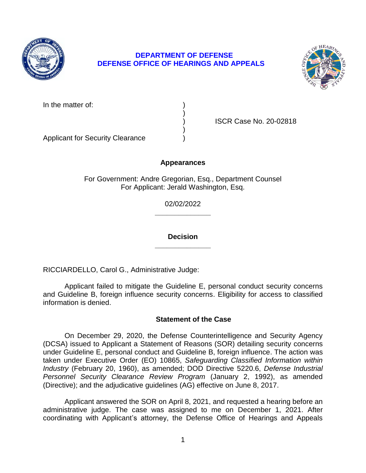

# **DEPARTMENT OF DEFENSE DEFENSE OFFICE OF HEARINGS AND APPEALS**



In the matter of:

) ISCR Case No. 20-02818

Applicant for Security Clearance )

## **Appearances**

)

)

For Government: Andre Gregorian, Esq., Department Counsel For Applicant: Jerald Washington, Esq.

> **\_\_\_\_\_\_\_\_\_\_\_\_\_\_**  02/02/2022

> **\_\_\_\_\_\_\_\_\_\_\_\_\_\_ Decision**

RICCIARDELLO, Carol G., Administrative Judge:

 Applicant failed to mitigate the Guideline E, personal conduct security concerns and Guideline B, foreign influence security concerns. Eligibility for access to classified information is denied.

## **Statement of the Case**

 On December 29, 2020, the Defense Counterintelligence and Security Agency (DCSA) issued to Applicant a Statement of Reasons (SOR) detailing security concerns under Guideline E, personal conduct and Guideline B, foreign influence. The action was taken under Executive Order (EO) 10865, *Safeguarding Classified Information within Industry* (February 20, 1960), as amended; DOD Directive 5220.6, *Defense Industrial*  Personnel Security Clearance Review Program (January 2, 1992), as amended (Directive); and the adjudicative guidelines (AG) effective on June 8, 2017.

 administrative judge. The case was assigned to me on December 1, 2021. After coordinating with Applicant's attorney, the Defense Office of Hearings and Appeals Applicant answered the SOR on April 8, 2021, and requested a hearing before an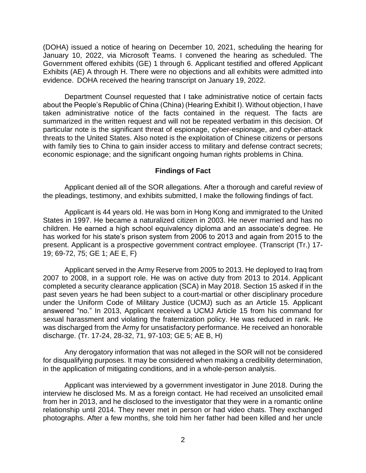(DOHA) issued a notice of hearing on December 10, 2021, scheduling the hearing for January 10, 2022, via Microsoft Teams. I convened the hearing as scheduled. The Government offered exhibits (GE) 1 through 6. Applicant testified and offered Applicant Exhibits (AE) A through H. There were no objections and all exhibits were admitted into evidence. DOHA received the hearing transcript on January 19, 2022.

 Department Counsel requested that I take administrative notice of certain facts taken administrative notice of the facts contained in the request. The facts are summarized in the written request and will not be repeated verbatim in this decision. Of particular note is the significant threat of espionage, cyber-espionage, and cyber-attack threats to the United States. Also noted is the exploitation of Chinese citizens or persons with family ties to China to gain insider access to military and defense contract secrets; about the People's Republic of China (China) (Hearing Exhibit I). Without objection, I have economic espionage; and the significant ongoing human rights problems in China.

#### **Findings of Fact**

 Applicant denied all of the SOR allegations. After a thorough and careful review of the pleadings, testimony, and exhibits submitted, I make the following findings of fact.

Applicant is 44 years old. He was born in Hong Kong and immigrated to the United States in 1997. He became a naturalized citizen in 2003. He never married and has no children. He earned a high school equivalency diploma and an associate's degree. He has worked for his state's prison system from 2006 to 2013 and again from 2015 to the present. Applicant is a prospective government contract employee. (Transcript (Tr.) 17- 19; 69-72, 75; GE 1; AE E, F)

 Applicant served in the Army Reserve from 2005 to 2013. He deployed to Iraq from 2007 to 2008, in a support role. He was on active duty from 2013 to 2014. Applicant completed a security clearance application (SCA) in May 2018. Section 15 asked if in the past seven years he had been subject to a court-martial or other disciplinary procedure under the Uniform Code of Military Justice (UCMJ) such as an Article 15. Applicant answered "no." In 2013, Applicant received a UCMJ Article 15 from his command for sexual harassment and violating the fraternization policy. He was reduced in rank. He was discharged from the Army for unsatisfactory performance. He received an honorable discharge. (Tr. 17-24, 28-32, 71, 97-103; GE 5; AE B, H)

 Any derogatory information that was not alleged in the SOR will not be considered for disqualifying purposes. It may be considered when making a credibility determination, in the application of mitigating conditions, and in a whole-person analysis.

 Applicant was interviewed by a government investigator in June 2018. During the interview he disclosed Ms. M as a foreign contact. He had received an unsolicited email relationship until 2014. They never met in person or had video chats. They exchanged photographs. After a few months, she told him her father had been killed and her uncle from her in 2013, and he disclosed to the investigator that they were in a romantic online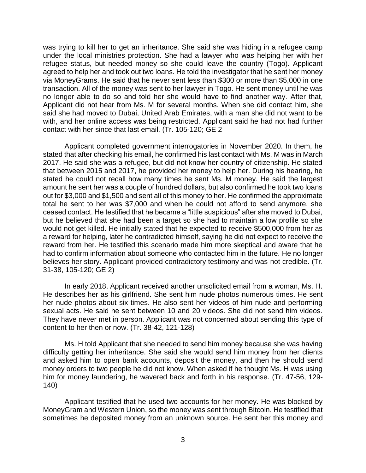was trying to kill her to get an inheritance. She said she was hiding in a refugee camp under the local ministries protection. She had a lawyer who was helping her with her refugee status, but needed money so she could leave the country (Togo). Applicant agreed to help her and took out two loans. He told the investigator that he sent her money via MoneyGrams. He said that he never sent less than \$300 or more than \$5,000 in one transaction. All of the money was sent to her lawyer in Togo. He sent money until he was no longer able to do so and told her she would have to find another way. After that, Applicant did not hear from Ms. M for several months. When she did contact him, she said she had moved to Dubai, United Arab Emirates, with a man she did not want to be with, and her online access was being restricted. Applicant said he had not had further contact with her since that last email. (Tr. 105-120; GE 2

 Applicant completed government interrogatories in November 2020. In them, he stated that after checking his email, he confirmed his last contact with Ms. M was in March 2017. He said she was a refugee, but did not know her country of citizenship. He stated that between 2015 and 2017, he provided her money to help her. During his hearing, he stated he could not recall how many times he sent Ms. M money. He said the largest amount he sent her was a couple of hundred dollars, but also confirmed he took two loans out for \$3,000 and \$1,500 and sent all of this money to her. He confirmed the approximate total he sent to her was \$7,000 and when he could not afford to send anymore, she ceased contact. He testified that he became a "little suspicious" after she moved to Dubai, but he believed that she had been a target so she had to maintain a low profile so she would not get killed. He initially stated that he expected to receive \$500,000 from her as a reward for helping, later he contradicted himself, saying he did not expect to receive the reward from her. He testified this scenario made him more skeptical and aware that he had to confirm information about someone who contacted him in the future. He no longer believes her story. Applicant provided contradictory testimony and was not credible. (Tr. 31-38, 105-120; GE 2)

 In early 2018, Applicant received another unsolicited email from a woman, Ms. H. He describes her as his girlfriend. She sent him nude photos numerous times. He sent her nude photos about six times. He also sent her videos of him nude and performing sexual acts. He said he sent between 10 and 20 videos. She did not send him videos. They have never met in person. Applicant was not concerned about sending this type of content to her then or now. (Tr. 38-42, 121-128)

Ms. H told Applicant that she needed to send him money because she was having difficulty getting her inheritance. She said she would send him money from her clients and asked him to open bank accounts, deposit the money, and then he should send money orders to two people he did not know. When asked if he thought Ms. H was using him for money laundering, he wavered back and forth in his response. (Tr. 47-56, 129- 140)

 Applicant testified that he used two accounts for her money. He was blocked by MoneyGram and Western Union, so the money was sent through Bitcoin. He testified that sometimes he deposited money from an unknown source. He sent her this money and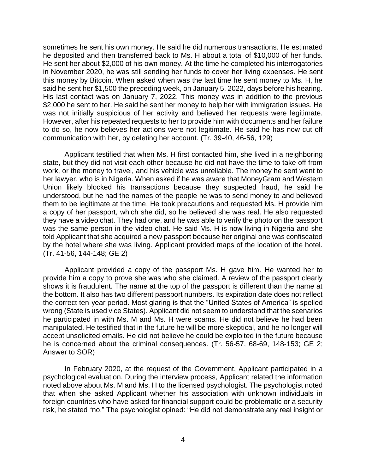sometimes he sent his own money. He said he did numerous transactions. He estimated he deposited and then transferred back to Ms. H about a total of \$10,000 of her funds. He sent her about \$2,000 of his own money. At the time he completed his interrogatories this money by Bitcoin. When asked when was the last time he sent money to Ms. H, he said he sent her \$1,500 the preceding week, on January 5, 2022, days before his hearing. His last contact was on January 7, 2022. This money was in addition to the previous \$2,000 he sent to her. He said he sent her money to help her with immigration issues. He However, after his repeated requests to her to provide him with documents and her failure to do so, he now believes her actions were not legitimate. He said he has now cut off in November 2020, he was still sending her funds to cover her living expenses. He sent was not initially suspicious of her activity and believed her requests were legitimate. communication with her, by deleting her account. (Tr. 39-40, 46-56, 129)

 Applicant testified that when Ms. H first contacted him, she lived in a neighboring state, but they did not visit each other because he did not have the time to take off from work, or the money to travel, and his vehicle was unreliable. The money he sent went to her lawyer, who is in Nigeria. When asked if he was aware that MoneyGram and Western Union likely blocked his transactions because they suspected fraud, he said he understood, but he had the names of the people he was to send money to and believed them to be legitimate at the time. He took precautions and requested Ms. H provide him a copy of her passport, which she did, so he believed she was real. He also requested they have a video chat. They had one, and he was able to verify the photo on the passport was the same person in the video chat. He said Ms. H is now living in Nigeria and she told Applicant that she acquired a new passport because her original one was confiscated by the hotel where she was living. Applicant provided maps of the location of the hotel. (Tr. 41-56, 144-148; GE 2)

 Applicant provided a copy of the passport Ms. H gave him. He wanted her to provide him a copy to prove she was who she claimed. A review of the passport clearly shows it is fraudulent. The name at the top of the passport is different than the name at the bottom. It also has two different passport numbers. Its expiration date does not reflect the correct ten-year period. Most glaring is that the "United States of America" is spelled wrong (State is used vice States). Applicant did not seem to understand that the scenarios he participated in with Ms. M and Ms. H were scams. He did not believe he had been manipulated. He testified that in the future he will be more skeptical, and he no longer will he is concerned about the criminal consequences. (Tr. 56-57, 68-69, 148-153; GE 2; accept unsolicited emails. He did not believe he could be exploited in the future because Answer to SOR)

 In February 2020, at the request of the Government, Applicant participated in a psychological evaluation. During the interview process, Applicant related the information noted above about Ms. M and Ms. H to the licensed psychologist. The psychologist noted that when she asked Applicant whether his association with unknown individuals in foreign countries who have asked for financial support could be problematic or a security risk, he stated "no." The psychologist opined: "He did not demonstrate any real insight or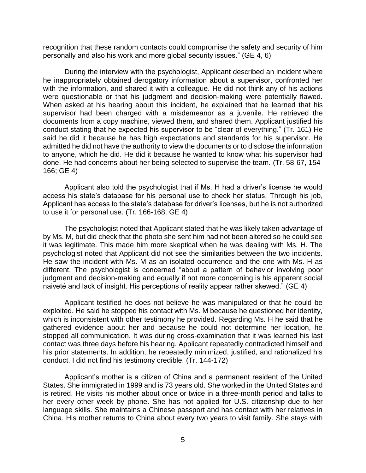recognition that these random contacts could compromise the safety and security of him personally and also his work and more global security issues." (GE 4, 6)

During the interview with the psychologist, Applicant described an incident where he inappropriately obtained derogatory information about a supervisor, confronted her with the information, and shared it with a colleague. He did not think any of his actions were questionable or that his judgment and decision-making were potentially flawed. When asked at his hearing about this incident, he explained that he learned that his supervisor had been charged with a misdemeanor as a juvenile. He retrieved the documents from a copy machine, viewed them, and shared them. Applicant justified his conduct stating that he expected his supervisor to be "clear of everything." (Tr. 161) He said he did it because he has high expectations and standards for his supervisor. He admitted he did not have the authority to view the documents or to disclose the information to anyone, which he did. He did it because he wanted to know what his supervisor had done. He had concerns about her being selected to supervise the team. (Tr. 58-67, 154- 166; GE 4)

 Applicant also told the psychologist that if Ms. H had a driver's license he would access his state's database for his personal use to check her status. Through his job, Applicant has access to the state's database for driver's licenses, but he is not authorized to use it for personal use. (Tr. 166-168; GE 4)

 The psychologist noted that Applicant stated that he was likely taken advantage of by Ms. M, but did check that the photo she sent him had not been altered so he could see it was legitimate. This made him more skeptical when he was dealing with Ms. H. The psychologist noted that Applicant did not see the similarities between the two incidents. He saw the incident with Ms. M as an isolated occurrence and the one with Ms. H as different. The psychologist is concerned "about a pattern of behavior involving poor judgment and decision-making and equally if not more concerning is his apparent social naiveté and lack of insight. His perceptions of reality appear rather skewed." (GE 4)

 Applicant testified he does not believe he was manipulated or that he could be exploited. He said he stopped his contact with Ms. M because he questioned her identity, which is inconsistent with other testimony he provided. Regarding Ms. H he said that he gathered evidence about her and because he could not determine her location, he stopped all communication. It was during cross-examination that it was learned his last contact was three days before his hearing. Applicant repeatedly contradicted himself and his prior statements. In addition, he repeatedly minimized, justified, and rationalized his conduct. I did not find his testimony credible. (Tr. 144-172)

 Applicant's mother is a citizen of China and a permanent resident of the United States. She immigrated in 1999 and is 73 years old. She worked in the United States and is retired. He visits his mother about once or twice in a three-month period and talks to her every other week by phone. She has not applied for U.S. citizenship due to her language skills. She maintains a Chinese passport and has contact with her relatives in China. His mother returns to China about every two years to visit family. She stays with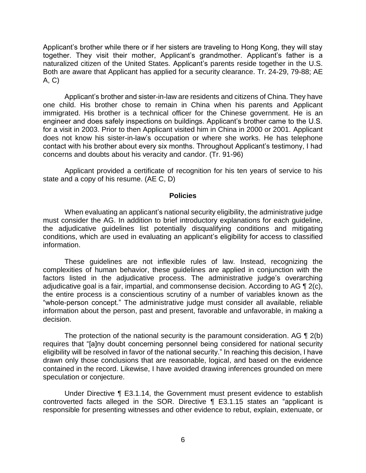Applicant's brother while there or if her sisters are traveling to Hong Kong, they will stay together. They visit their mother, Applicant's grandmother. Applicant's father is a naturalized citizen of the United States. Applicant's parents reside together in the U.S. Both are aware that Applicant has applied for a security clearance. Tr. 24-29, 79-88; AE A, C)

 Applicant's brother and sister-in-law are residents and citizens of China. They have one child. His brother chose to remain in China when his parents and Applicant immigrated. His brother is a technical officer for the Chinese government. He is an engineer and does safely inspections on buildings. Applicant's brother came to the U.S. for a visit in 2003. Prior to then Applicant visited him in China in 2000 or 2001. Applicant does not know his sister-in-law's occupation or where she works. He has telephone contact with his brother about every six months. Throughout Applicant's testimony, I had concerns and doubts about his veracity and candor. (Tr. 91-96)

 Applicant provided a certificate of recognition for his ten years of service to his state and a copy of his resume. (AE C, D)

#### **Policies**

 When evaluating an applicant's national security eligibility, the administrative judge must consider the AG. In addition to brief introductory explanations for each guideline, the adjudicative guidelines list potentially disqualifying conditions and mitigating conditions, which are used in evaluating an applicant's eligibility for access to classified information.

 These guidelines are not inflexible rules of law. Instead, recognizing the complexities of human behavior, these guidelines are applied in conjunction with the factors listed in the adjudicative process. The administrative judge's overarching adjudicative goal is a fair, impartial, and commonsense decision. According to AG  $\P$  2(c), the entire process is a conscientious scrutiny of a number of variables known as the "whole-person concept." The administrative judge must consider all available, reliable information about the person, past and present, favorable and unfavorable, in making a decision.

The protection of the national security is the paramount consideration. AG  $\P$  2(b) eligibility will be resolved in favor of the national security." In reaching this decision, I have drawn only those conclusions that are reasonable, logical, and based on the evidence contained in the record. Likewise, I have avoided drawing inferences grounded on mere requires that "[a]ny doubt concerning personnel being considered for national security speculation or conjecture.

 Under Directive ¶ E3.1.14, the Government must present evidence to establish controverted facts alleged in the SOR. Directive ¶ E3.1.15 states an "applicant is responsible for presenting witnesses and other evidence to rebut, explain, extenuate, or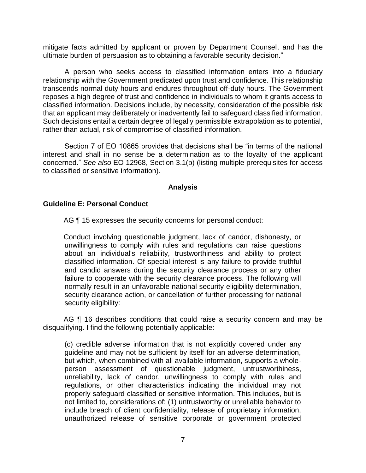mitigate facts admitted by applicant or proven by Department Counsel, and has the ultimate burden of persuasion as to obtaining a favorable security decision."

 A person who seeks access to classified information enters into a fiduciary relationship with the Government predicated upon trust and confidence. This relationship transcends normal duty hours and endures throughout off-duty hours. The Government reposes a high degree of trust and confidence in individuals to whom it grants access to classified information. Decisions include, by necessity, consideration of the possible risk that an applicant may deliberately or inadvertently fail to safeguard classified information. Such decisions entail a certain degree of legally permissible extrapolation as to potential, rather than actual, risk of compromise of classified information.

Section 7 of EO 10865 provides that decisions shall be "in terms of the national interest and shall in no sense be a determination as to the loyalty of the applicant concerned." *See also* EO 12968, Section 3.1(b) (listing multiple prerequisites for access to classified or sensitive information).

### **Analysis**

### **Guideline E: Personal Conduct**

AG ¶ 15 expresses the security concerns for personal conduct:

Conduct involving questionable judgment, lack of candor, dishonesty, or unwillingness to comply with rules and regulations can raise questions about an individual's reliability, trustworthiness and ability to protect classified information. Of special interest is any failure to provide truthful and candid answers during the security clearance process or any other failure to cooperate with the security clearance process. The following will normally result in an unfavorable national security eligibility determination, security clearance action, or cancellation of further processing for national security eligibility:

AG ¶ 16 describes conditions that could raise a security concern and may be disqualifying. I find the following potentially applicable:

(c) credible adverse information that is not explicitly covered under any guideline and may not be sufficient by itself for an adverse determination, but which, when combined with all available information, supports a wholeperson assessment of questionable judgment, untrustworthiness, unreliability, lack of candor, unwillingness to comply with rules and regulations, or other characteristics indicating the individual may not properly safeguard classified or sensitive information. This includes, but is not limited to, considerations of: (1) untrustworthy or unreliable behavior to include breach of client confidentiality, release of proprietary information, unauthorized release of sensitive corporate or government protected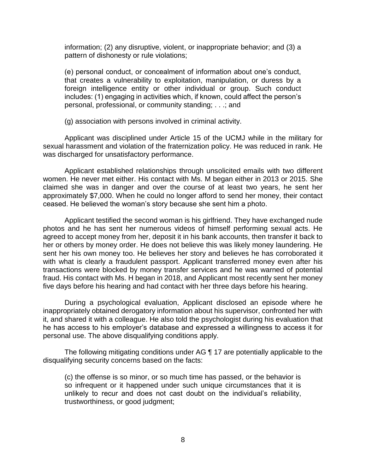information; (2) any disruptive, violent, or inappropriate behavior; and (3) a pattern of dishonesty or rule violations;

(e) personal conduct, or concealment of information about one's conduct, that creates a vulnerability to exploitation, manipulation, or duress by a foreign intelligence entity or other individual or group. Such conduct includes: (1) engaging in activities which, if known, could affect the person's personal, professional, or community standing; . . .; and

(g) association with persons involved in criminal activity.

 Applicant was disciplined under Article 15 of the UCMJ while in the military for sexual harassment and violation of the fraternization policy. He was reduced in rank. He was discharged for unsatisfactory performance.

 Applicant established relationships through unsolicited emails with two different women. He never met either. His contact with Ms. M began either in 2013 or 2015. She claimed she was in danger and over the course of at least two years, he sent her approximately \$7,000. When he could no longer afford to send her money, their contact ceased. He believed the woman's story because she sent him a photo.

 Applicant testified the second woman is his girlfriend. They have exchanged nude photos and he has sent her numerous videos of himself performing sexual acts. He her or others by money order. He does not believe this was likely money laundering. He sent her his own money too. He believes her story and believes he has corroborated it with what is clearly a fraudulent passport. Applicant transferred money even after his transactions were blocked by money transfer services and he was warned of potential fraud. His contact with Ms. H began in 2018, and Applicant most recently sent her money agreed to accept money from her, deposit it in his bank accounts, then transfer it back to five days before his hearing and had contact with her three days before his hearing.

 During a psychological evaluation, Applicant disclosed an episode where he inappropriately obtained derogatory information about his supervisor, confronted her with he has access to his employer's database and expressed a willingness to access it for it, and shared it with a colleague. He also told the psychologist during his evaluation that personal use. The above disqualifying conditions apply.

 The following mitigating conditions under AG ¶ 17 are potentially applicable to the disqualifying security concerns based on the facts:

 (c) the offense is so minor, or so much time has passed, or the behavior is so infrequent or it happened under such unique circumstances that it is unlikely to recur and does not cast doubt on the individual's reliability, trustworthiness, or good judgment;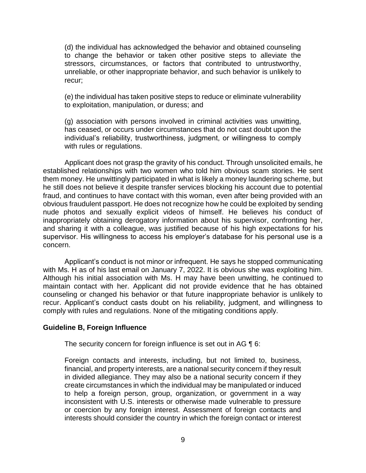(d) the individual has acknowledged the behavior and obtained counseling to change the behavior or taken other positive steps to alleviate the stressors, circumstances, or factors that contributed to untrustworthy, unreliable, or other inappropriate behavior, and such behavior is unlikely to recur;

(e) the individual has taken positive steps to reduce or eliminate vulnerability to exploitation, manipulation, or duress; and

(g) association with persons involved in criminal activities was unwitting, has ceased, or occurs under circumstances that do not cast doubt upon the individual's reliability, trustworthiness, judgment, or willingness to comply with rules or regulations.

Applicant does not grasp the gravity of his conduct. Through unsolicited emails, he established relationships with two women who told him obvious scam stories. He sent them money. He unwittingly participated in what is likely a money laundering scheme, but he still does not believe it despite transfer services blocking his account due to potential fraud, and continues to have contact with this woman, even after being provided with an obvious fraudulent passport. He does not recognize how he could be exploited by sending nude photos and sexually explicit videos of himself. He believes his conduct of inappropriately obtaining derogatory information about his supervisor, confronting her, and sharing it with a colleague, was justified because of his high expectations for his supervisor. His willingness to access his employer's database for his personal use is a concern.

 Applicant's conduct is not minor or infrequent. He says he stopped communicating with Ms. H as of his last email on January 7, 2022. It is obvious she was exploiting him. Although his initial association with Ms. H may have been unwitting, he continued to maintain contact with her. Applicant did not provide evidence that he has obtained counseling or changed his behavior or that future inappropriate behavior is unlikely to recur. Applicant's conduct casts doubt on his reliability, judgment, and willingness to comply with rules and regulations. None of the mitigating conditions apply.

## **Guideline B, Foreign Influence**

The security concern for foreign influence is set out in AG ¶ 6:

Foreign contacts and interests, including, but not limited to, business, financial, and property interests, are a national security concern if they result in divided allegiance. They may also be a national security concern if they create circumstances in which the individual may be manipulated or induced to help a foreign person, group, organization, or government in a way inconsistent with U.S. interests or otherwise made vulnerable to pressure or coercion by any foreign interest. Assessment of foreign contacts and interests should consider the country in which the foreign contact or interest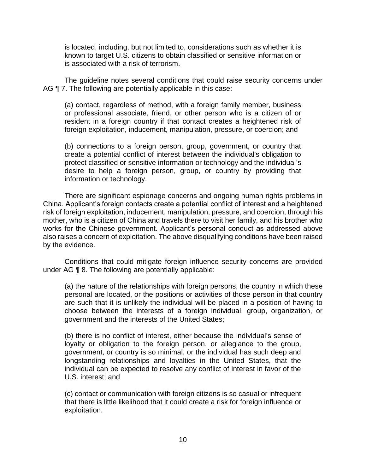is located, including, but not limited to, considerations such as whether it is known to target U.S. citizens to obtain classified or sensitive information or is associated with a risk of terrorism.

 The guideline notes several conditions that could raise security concerns under AG  $\P$  7. The following are potentially applicable in this case:

(a) contact, regardless of method, with a foreign family member, business or professional associate, friend, or other person who is a citizen of or resident in a foreign country if that contact creates a heightened risk of foreign exploitation, inducement, manipulation, pressure, or coercion; and

(b) connections to a foreign person, group, government, or country that create a potential conflict of interest between the individual's obligation to protect classified or sensitive information or technology and the individual's desire to help a foreign person, group, or country by providing that information or technology.

 There are significant espionage concerns and ongoing human rights problems in China. Applicant's foreign contacts create a potential conflict of interest and a heightened risk of foreign exploitation, inducement, manipulation, pressure, and coercion, through his mother, who is a citizen of China and travels there to visit her family, and his brother who works for the Chinese government. Applicant's personal conduct as addressed above also raises a concern of exploitation. The above disqualifying conditions have been raised by the evidence.

 Conditions that could mitigate foreign influence security concerns are provided under AG ¶ 8. The following are potentially applicable:

(a) the nature of the relationships with foreign persons, the country in which these personal are located, or the positions or activities of those person in that country are such that it is unlikely the individual will be placed in a position of having to choose between the interests of a foreign individual, group, organization, or government and the interests of the United States;

(b) there is no conflict of interest, either because the individual's sense of loyalty or obligation to the foreign person, or allegiance to the group, government, or country is so minimal, or the individual has such deep and longstanding relationships and loyalties in the United States, that the individual can be expected to resolve any conflict of interest in favor of the U.S. interest; and

(c) contact or communication with foreign citizens is so casual or infrequent that there is little likelihood that it could create a risk for foreign influence or exploitation.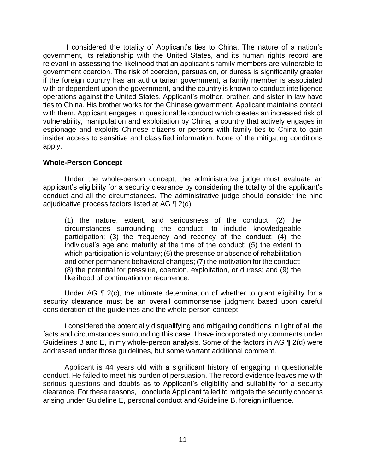I considered the totality of Applicant's ties to China. The nature of a nation's government, its relationship with the United States, and its human rights record are relevant in assessing the likelihood that an applicant's family members are vulnerable to government coercion. The risk of coercion, persuasion, or duress is significantly greater if the foreign country has an authoritarian government, a family member is associated with or dependent upon the government, and the country is known to conduct intelligence operations against the United States. Applicant's mother, brother, and sister-in-law have ties to China. His brother works for the Chinese government. Applicant maintains contact with them. Applicant engages in questionable conduct which creates an increased risk of vulnerability, manipulation and exploitation by China, a country that actively engages in espionage and exploits Chinese citizens or persons with family ties to China to gain insider access to sensitive and classified information. None of the mitigating conditions apply.

## **Whole-Person Concept**

 Under the whole-person concept, the administrative judge must evaluate an applicant's eligibility for a security clearance by considering the totality of the applicant's conduct and all the circumstances. The administrative judge should consider the nine adjudicative process factors listed at AG ¶ 2(d):

(1) the nature, extent, and seriousness of the conduct; (2) the circumstances surrounding the conduct, to include knowledgeable participation; (3) the frequency and recency of the conduct; (4) the individual's age and maturity at the time of the conduct; (5) the extent to which participation is voluntary; (6) the presence or absence of rehabilitation and other permanent behavioral changes; (7) the motivation for the conduct; (8) the potential for pressure, coercion, exploitation, or duress; and (9) the likelihood of continuation or recurrence.

Under AG  $\P$  2(c), the ultimate determination of whether to grant eligibility for a security clearance must be an overall commonsense judgment based upon careful consideration of the guidelines and the whole-person concept.

 I considered the potentially disqualifying and mitigating conditions in light of all the Guidelines B and E, in my whole-person analysis. Some of the factors in AG ¶ 2(d) were facts and circumstances surrounding this case. I have incorporated my comments under addressed under those guidelines, but some warrant additional comment.

 Applicant is 44 years old with a significant history of engaging in questionable conduct. He failed to meet his burden of persuasion. The record evidence leaves me with serious questions and doubts as to Applicant's eligibility and suitability for a security clearance. For these reasons, I conclude Applicant failed to mitigate the security concerns arising under Guideline E, personal conduct and Guideline B, foreign influence.